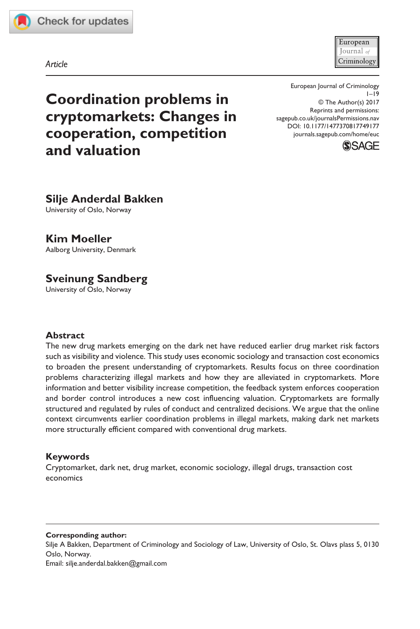

European Iournal *a* Criminology

*Article*

**Coordination problems in cryptomarkets: Changes in cooperation, competition and valuation**

DOI: 10.1177/1477370817749177 European Journal of Criminology  $1 - 19$ © The Author(s) 2017 Reprints and permissions: [sagepub.co.uk/journalsPermissions.nav](https://uk.sagepub.com/en-gb/journals-permissions) [journals.sagepub.com/home/euc](https://journals.sagepub.com/home/euc)



# **Silje Anderdal Bakken**

University of Oslo, Norway

## **Kim Moeller**

Aalborg University, Denmark

# **Sveinung Sandberg**

University of Oslo, Norway

#### **Abstract**

The new drug markets emerging on the dark net have reduced earlier drug market risk factors such as visibility and violence. This study uses economic sociology and transaction cost economics to broaden the present understanding of cryptomarkets. Results focus on three coordination problems characterizing illegal markets and how they are alleviated in cryptomarkets. More information and better visibility increase competition, the feedback system enforces cooperation and border control introduces a new cost influencing valuation. Cryptomarkets are formally structured and regulated by rules of conduct and centralized decisions. We argue that the online context circumvents earlier coordination problems in illegal markets, making dark net markets more structurally efficient compared with conventional drug markets.

### **Keywords**

Cryptomarket, dark net, drug market, economic sociology, illegal drugs, transaction cost economics

#### **Corresponding author:**

Silje A Bakken, Department of Criminology and Sociology of Law, University of Oslo, St. Olavs plass 5, 0130 Oslo, Norway. Email: [silje.anderdal.bakken@gmail.com](mailto:silje.anderdal.bakken@gmail.com)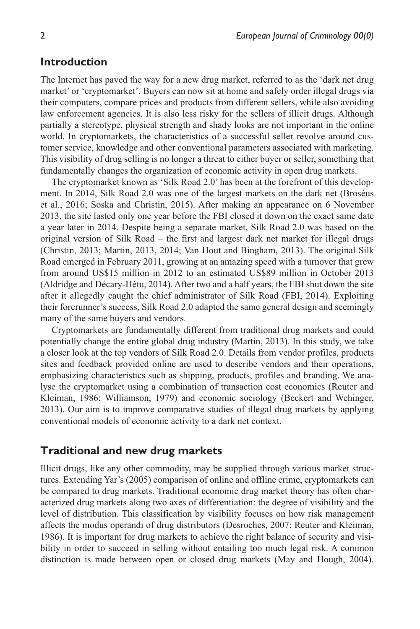## **Introduction**

The Internet has paved the way for a new drug market, referred to as the 'dark net drug market' or 'cryptomarket'. Buyers can now sit at home and safely order illegal drugs via their computers, compare prices and products from different sellers, while also avoiding law enforcement agencies. It is also less risky for the sellers of illicit drugs. Although partially a stereotype, physical strength and shady looks are not important in the online world. In cryptomarkets, the characteristics of a successful seller revolve around customer service, knowledge and other conventional parameters associated with marketing. This visibility of drug selling is no longer a threat to either buyer or seller, something that fundamentally changes the organization of economic activity in open drug markets.

The cryptomarket known as 'Silk Road 2.0' has been at the forefront of this development. In 2014, Silk Road 2.0 was one of the largest markets on the dark net (Broséus et al., 2016; Soska and Christin, 2015). After making an appearance on 6 November 2013, the site lasted only one year before the FBI closed it down on the exact same date a year later in 2014. Despite being a separate market, Silk Road 2.0 was based on the original version of Silk Road – the first and largest dark net market for illegal drugs (Christin, 2013; Martin, 2013, 2014; Van Hout and Bingham, 2013). The original Silk Road emerged in February 2011, growing at an amazing speed with a turnover that grew from around US\$15 million in 2012 to an estimated US\$89 million in October 2013 (Aldridge and Décary-Hétu, 2014). After two and a half years, the FBI shut down the site after it allegedly caught the chief administrator of Silk Road (FBI, 2014). Exploiting their forerunner's success, Silk Road 2.0 adapted the same general design and seemingly many of the same buyers and vendors.

Cryptomarkets are fundamentally different from traditional drug markets and could potentially change the entire global drug industry (Martin, 2013). In this study, we take a closer look at the top vendors of Silk Road 2.0. Details from vendor profiles, products sites and feedback provided online are used to describe vendors and their operations, emphasizing characteristics such as shipping, products, profiles and branding. We analyse the cryptomarket using a combination of transaction cost economics (Reuter and Kleiman, 1986; Williamson, 1979) and economic sociology (Beckert and Wehinger, 2013). Our aim is to improve comparative studies of illegal drug markets by applying conventional models of economic activity to a dark net context.

### **Traditional and new drug markets**

Illicit drugs, like any other commodity, may be supplied through various market structures. Extending Yar's (2005) comparison of online and offline crime, cryptomarkets can be compared to drug markets. Traditional economic drug market theory has often characterized drug markets along two axes of differentiation: the degree of visibility and the level of distribution. This classification by visibility focuses on how risk management affects the modus operandi of drug distributors (Desroches, 2007; Reuter and Kleiman, 1986). It is important for drug markets to achieve the right balance of security and visibility in order to succeed in selling without entailing too much legal risk. A common distinction is made between open or closed drug markets (May and Hough, 2004).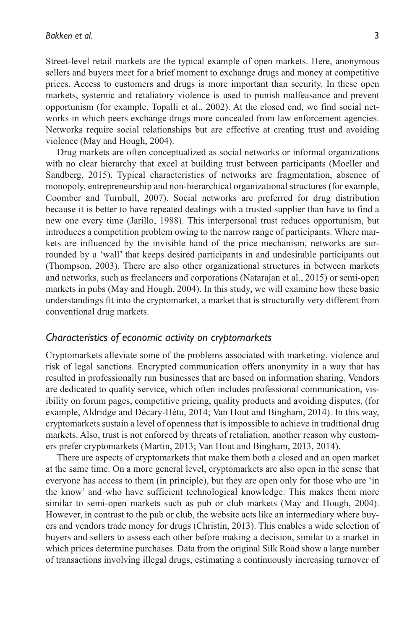Street-level retail markets are the typical example of open markets. Here, anonymous sellers and buyers meet for a brief moment to exchange drugs and money at competitive prices. Access to customers and drugs is more important than security. In these open markets, systemic and retaliatory violence is used to punish malfeasance and prevent opportunism (for example, Topalli et al., 2002). At the closed end, we find social networks in which peers exchange drugs more concealed from law enforcement agencies. Networks require social relationships but are effective at creating trust and avoiding violence (May and Hough, 2004).

Drug markets are often conceptualized as social networks or informal organizations with no clear hierarchy that excel at building trust between participants (Moeller and Sandberg, 2015). Typical characteristics of networks are fragmentation, absence of monopoly, entrepreneurship and non-hierarchical organizational structures (for example, Coomber and Turnbull, 2007). Social networks are preferred for drug distribution because it is better to have repeated dealings with a trusted supplier than have to find a new one every time (Jarillo, 1988). This interpersonal trust reduces opportunism, but introduces a competition problem owing to the narrow range of participants. Where markets are influenced by the invisible hand of the price mechanism, networks are surrounded by a 'wall' that keeps desired participants in and undesirable participants out (Thompson, 2003). There are also other organizational structures in between markets and networks, such as freelancers and corporations (Natarajan et al., 2015) or semi-open markets in pubs (May and Hough, 2004). In this study, we will examine how these basic understandings fit into the cryptomarket, a market that is structurally very different from conventional drug markets.

#### *Characteristics of economic activity on cryptomarkets*

Cryptomarkets alleviate some of the problems associated with marketing, violence and risk of legal sanctions. Encrypted communication offers anonymity in a way that has resulted in professionally run businesses that are based on information sharing. Vendors are dedicated to quality service, which often includes professional communication, visibility on forum pages, competitive pricing, quality products and avoiding disputes, (for example, Aldridge and Décary-Hétu, 2014; Van Hout and Bingham, 2014). In this way, cryptomarkets sustain a level of openness that is impossible to achieve in traditional drug markets. Also, trust is not enforced by threats of retaliation, another reason why customers prefer cryptomarkets (Martin, 2013; Van Hout and Bingham, 2013, 2014).

There are aspects of cryptomarkets that make them both a closed and an open market at the same time. On a more general level, cryptomarkets are also open in the sense that everyone has access to them (in principle), but they are open only for those who are 'in the know' and who have sufficient technological knowledge. This makes them more similar to semi-open markets such as pub or club markets (May and Hough, 2004). However, in contrast to the pub or club, the website acts like an intermediary where buyers and vendors trade money for drugs (Christin, 2013). This enables a wide selection of buyers and sellers to assess each other before making a decision, similar to a market in which prices determine purchases. Data from the original Silk Road show a large number of transactions involving illegal drugs, estimating a continuously increasing turnover of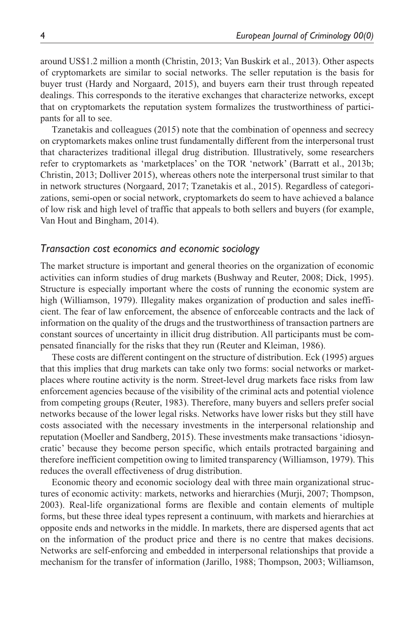around US\$1.2 million a month (Christin, 2013; Van Buskirk et al., 2013). Other aspects of cryptomarkets are similar to social networks. The seller reputation is the basis for buyer trust (Hardy and Norgaard, 2015), and buyers earn their trust through repeated dealings. This corresponds to the iterative exchanges that characterize networks, except that on cryptomarkets the reputation system formalizes the trustworthiness of participants for all to see.

Tzanetakis and colleagues (2015) note that the combination of openness and secrecy on cryptomarkets makes online trust fundamentally different from the interpersonal trust that characterizes traditional illegal drug distribution. Illustratively, some researchers refer to cryptomarkets as 'marketplaces' on the TOR 'network' (Barratt et al., 2013b; Christin, 2013; Dolliver 2015), whereas others note the interpersonal trust similar to that in network structures (Norgaard, 2017; Tzanetakis et al., 2015). Regardless of categorizations, semi-open or social network, cryptomarkets do seem to have achieved a balance of low risk and high level of traffic that appeals to both sellers and buyers (for example, Van Hout and Bingham, 2014).

#### *Transaction cost economics and economic sociology*

The market structure is important and general theories on the organization of economic activities can inform studies of drug markets (Bushway and Reuter, 2008; Dick, 1995). Structure is especially important where the costs of running the economic system are high (Williamson, 1979). Illegality makes organization of production and sales inefficient. The fear of law enforcement, the absence of enforceable contracts and the lack of information on the quality of the drugs and the trustworthiness of transaction partners are constant sources of uncertainty in illicit drug distribution. All participants must be compensated financially for the risks that they run (Reuter and Kleiman, 1986).

These costs are different contingent on the structure of distribution. Eck (1995) argues that this implies that drug markets can take only two forms: social networks or marketplaces where routine activity is the norm. Street-level drug markets face risks from law enforcement agencies because of the visibility of the criminal acts and potential violence from competing groups (Reuter, 1983). Therefore, many buyers and sellers prefer social networks because of the lower legal risks. Networks have lower risks but they still have costs associated with the necessary investments in the interpersonal relationship and reputation (Moeller and Sandberg, 2015). These investments make transactions 'idiosyncratic' because they become person specific, which entails protracted bargaining and therefore inefficient competition owing to limited transparency (Williamson, 1979). This reduces the overall effectiveness of drug distribution.

Economic theory and economic sociology deal with three main organizational structures of economic activity: markets, networks and hierarchies (Murji, 2007; Thompson, 2003). Real-life organizational forms are flexible and contain elements of multiple forms, but these three ideal types represent a continuum, with markets and hierarchies at opposite ends and networks in the middle. In markets, there are dispersed agents that act on the information of the product price and there is no centre that makes decisions. Networks are self-enforcing and embedded in interpersonal relationships that provide a mechanism for the transfer of information (Jarillo, 1988; Thompson, 2003; Williamson,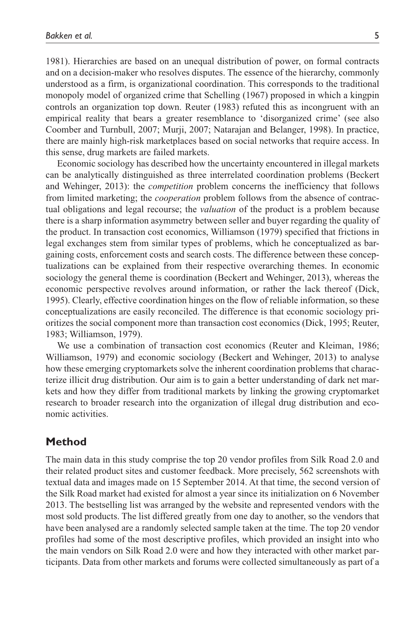1981). Hierarchies are based on an unequal distribution of power, on formal contracts and on a decision-maker who resolves disputes. The essence of the hierarchy, commonly understood as a firm, is organizational coordination. This corresponds to the traditional monopoly model of organized crime that Schelling (1967) proposed in which a kingpin controls an organization top down. Reuter (1983) refuted this as incongruent with an empirical reality that bears a greater resemblance to 'disorganized crime' (see also Coomber and Turnbull, 2007; Murji, 2007; Natarajan and Belanger, 1998). In practice, there are mainly high-risk marketplaces based on social networks that require access. In this sense, drug markets are failed markets.

Economic sociology has described how the uncertainty encountered in illegal markets can be analytically distinguished as three interrelated coordination problems (Beckert and Wehinger, 2013): the *competition* problem concerns the inefficiency that follows from limited marketing; the *cooperation* problem follows from the absence of contractual obligations and legal recourse; the *valuation* of the product is a problem because there is a sharp information asymmetry between seller and buyer regarding the quality of the product. In transaction cost economics, Williamson (1979) specified that frictions in legal exchanges stem from similar types of problems, which he conceptualized as bargaining costs, enforcement costs and search costs. The difference between these conceptualizations can be explained from their respective overarching themes. In economic sociology the general theme is coordination (Beckert and Wehinger, 2013), whereas the economic perspective revolves around information, or rather the lack thereof (Dick, 1995). Clearly, effective coordination hinges on the flow of reliable information, so these conceptualizations are easily reconciled. The difference is that economic sociology prioritizes the social component more than transaction cost economics (Dick, 1995; Reuter, 1983; Williamson, 1979).

We use a combination of transaction cost economics (Reuter and Kleiman, 1986; Williamson, 1979) and economic sociology (Beckert and Wehinger, 2013) to analyse how these emerging cryptomarkets solve the inherent coordination problems that characterize illicit drug distribution. Our aim is to gain a better understanding of dark net markets and how they differ from traditional markets by linking the growing cryptomarket research to broader research into the organization of illegal drug distribution and economic activities.

## **Method**

The main data in this study comprise the top 20 vendor profiles from Silk Road 2.0 and their related product sites and customer feedback. More precisely, 562 screenshots with textual data and images made on 15 September 2014. At that time, the second version of the Silk Road market had existed for almost a year since its initialization on 6 November 2013. The bestselling list was arranged by the website and represented vendors with the most sold products. The list differed greatly from one day to another, so the vendors that have been analysed are a randomly selected sample taken at the time. The top 20 vendor profiles had some of the most descriptive profiles, which provided an insight into who the main vendors on Silk Road 2.0 were and how they interacted with other market participants. Data from other markets and forums were collected simultaneously as part of a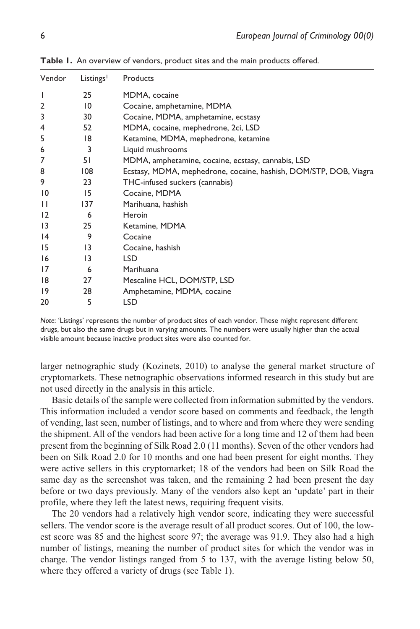| Vendor      | Listings <sup>1</sup> | Products                                                          |
|-------------|-----------------------|-------------------------------------------------------------------|
| ı           | 25                    | MDMA, cocaine                                                     |
| 2           | $\overline{10}$       | Cocaine, amphetamine, MDMA                                        |
| 3           | 30                    | Cocaine, MDMA, amphetamine, ecstasy                               |
| 4           | 52                    | MDMA, cocaine, mephedrone, 2ci, LSD                               |
| 5           | 18                    | Ketamine, MDMA, mephedrone, ketamine                              |
| 6           | 3                     | Liquid mushrooms                                                  |
| 7           | 51                    | MDMA, amphetamine, cocaine, ecstasy, cannabis, LSD                |
| 8           | 108                   | Ecstasy, MDMA, mephedrone, cocaine, hashish, DOM/STP, DOB, Viagra |
| 9           | 23                    | THC-infused suckers (cannabis)                                    |
| 10          | 15                    | Cocaine, MDMA                                                     |
| П           | 137                   | Marihuana, hashish                                                |
| 12          | 6                     | Heroin                                                            |
| 13          | 25                    | Ketamine, MDMA                                                    |
| 4           | 9                     | Cocaine                                                           |
| 15          | $\overline{13}$       | Cocaine, hashish                                                  |
| 16          | $\overline{13}$       | <b>LSD</b>                                                        |
| 17          | 6                     | Marihuana                                                         |
| 18          | 27                    | Mescaline HCL, DOM/STP, LSD                                       |
| $ 9\rangle$ | 28                    | Amphetamine, MDMA, cocaine                                        |
| 20          | 5                     | <b>LSD</b>                                                        |

Table 1. An overview of vendors, product sites and the main products offered.

*Note*: 'Listings' represents the number of product sites of each vendor. These might represent different drugs, but also the same drugs but in varying amounts. The numbers were usually higher than the actual visible amount because inactive product sites were also counted for.

larger netnographic study (Kozinets, 2010) to analyse the general market structure of cryptomarkets. These netnographic observations informed research in this study but are not used directly in the analysis in this article.

Basic details of the sample were collected from information submitted by the vendors. This information included a vendor score based on comments and feedback, the length of vending, last seen, number of listings, and to where and from where they were sending the shipment. All of the vendors had been active for a long time and 12 of them had been present from the beginning of Silk Road 2.0 (11 months). Seven of the other vendors had been on Silk Road 2.0 for 10 months and one had been present for eight months. They were active sellers in this cryptomarket; 18 of the vendors had been on Silk Road the same day as the screenshot was taken, and the remaining 2 had been present the day before or two days previously. Many of the vendors also kept an 'update' part in their profile, where they left the latest news, requiring frequent visits.

The 20 vendors had a relatively high vendor score, indicating they were successful sellers. The vendor score is the average result of all product scores. Out of 100, the lowest score was 85 and the highest score 97; the average was 91.9. They also had a high number of listings, meaning the number of product sites for which the vendor was in charge. The vendor listings ranged from 5 to 137, with the average listing below 50, where they offered a variety of drugs (see Table 1).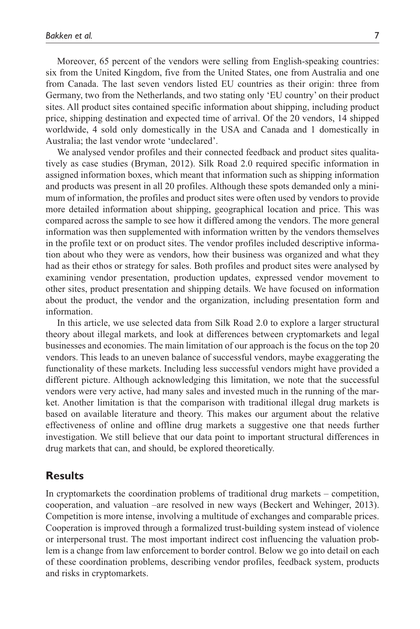Moreover, 65 percent of the vendors were selling from English-speaking countries: six from the United Kingdom, five from the United States, one from Australia and one from Canada. The last seven vendors listed EU countries as their origin: three from Germany, two from the Netherlands, and two stating only 'EU country' on their product sites. All product sites contained specific information about shipping, including product price, shipping destination and expected time of arrival. Of the 20 vendors, 14 shipped worldwide, 4 sold only domestically in the USA and Canada and 1 domestically in Australia; the last vendor wrote 'undeclared'.

We analysed vendor profiles and their connected feedback and product sites qualitatively as case studies (Bryman, 2012). Silk Road 2.0 required specific information in assigned information boxes, which meant that information such as shipping information and products was present in all 20 profiles. Although these spots demanded only a minimum of information, the profiles and product sites were often used by vendors to provide more detailed information about shipping, geographical location and price. This was compared across the sample to see how it differed among the vendors. The more general information was then supplemented with information written by the vendors themselves in the profile text or on product sites. The vendor profiles included descriptive information about who they were as vendors, how their business was organized and what they had as their ethos or strategy for sales. Both profiles and product sites were analysed by examining vendor presentation, production updates, expressed vendor movement to other sites, product presentation and shipping details. We have focused on information about the product, the vendor and the organization, including presentation form and information.

In this article, we use selected data from Silk Road 2.0 to explore a larger structural theory about illegal markets, and look at differences between cryptomarkets and legal businesses and economies. The main limitation of our approach is the focus on the top 20 vendors. This leads to an uneven balance of successful vendors, maybe exaggerating the functionality of these markets. Including less successful vendors might have provided a different picture. Although acknowledging this limitation, we note that the successful vendors were very active, had many sales and invested much in the running of the market. Another limitation is that the comparison with traditional illegal drug markets is based on available literature and theory. This makes our argument about the relative effectiveness of online and offline drug markets a suggestive one that needs further investigation. We still believe that our data point to important structural differences in drug markets that can, and should, be explored theoretically.

### **Results**

In cryptomarkets the coordination problems of traditional drug markets – competition, cooperation, and valuation –are resolved in new ways (Beckert and Wehinger, 2013). Competition is more intense, involving a multitude of exchanges and comparable prices. Cooperation is improved through a formalized trust-building system instead of violence or interpersonal trust. The most important indirect cost influencing the valuation problem is a change from law enforcement to border control. Below we go into detail on each of these coordination problems, describing vendor profiles, feedback system, products and risks in cryptomarkets.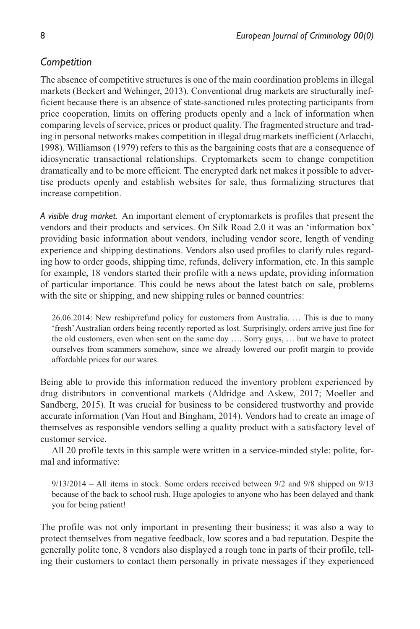## *Competition*

The absence of competitive structures is one of the main coordination problems in illegal markets (Beckert and Wehinger, 2013). Conventional drug markets are structurally inefficient because there is an absence of state-sanctioned rules protecting participants from price cooperation, limits on offering products openly and a lack of information when comparing levels of service, prices or product quality. The fragmented structure and trading in personal networks makes competition in illegal drug markets inefficient (Arlacchi, 1998). Williamson (1979) refers to this as the bargaining costs that are a consequence of idiosyncratic transactional relationships. Cryptomarkets seem to change competition dramatically and to be more efficient. The encrypted dark net makes it possible to advertise products openly and establish websites for sale, thus formalizing structures that increase competition.

*A visible drug market.* An important element of cryptomarkets is profiles that present the vendors and their products and services. On Silk Road 2.0 it was an 'information box' providing basic information about vendors, including vendor score, length of vending experience and shipping destinations. Vendors also used profiles to clarify rules regarding how to order goods, shipping time, refunds, delivery information, etc. In this sample for example, 18 vendors started their profile with a news update, providing information of particular importance. This could be news about the latest batch on sale, problems with the site or shipping, and new shipping rules or banned countries:

26.06.2014: New reship/refund policy for customers from Australia. … This is due to many 'fresh' Australian orders being recently reported as lost. Surprisingly, orders arrive just fine for the old customers, even when sent on the same day …. Sorry guys, … but we have to protect ourselves from scammers somehow, since we already lowered our profit margin to provide affordable prices for our wares.

Being able to provide this information reduced the inventory problem experienced by drug distributors in conventional markets (Aldridge and Askew, 2017; Moeller and Sandberg, 2015). It was crucial for business to be considered trustworthy and provide accurate information (Van Hout and Bingham, 2014). Vendors had to create an image of themselves as responsible vendors selling a quality product with a satisfactory level of customer service.

All 20 profile texts in this sample were written in a service-minded style: polite, formal and informative:

9/13/2014 – All items in stock. Some orders received between 9/2 and 9/8 shipped on 9/13 because of the back to school rush. Huge apologies to anyone who has been delayed and thank you for being patient!

The profile was not only important in presenting their business; it was also a way to protect themselves from negative feedback, low scores and a bad reputation. Despite the generally polite tone, 8 vendors also displayed a rough tone in parts of their profile, telling their customers to contact them personally in private messages if they experienced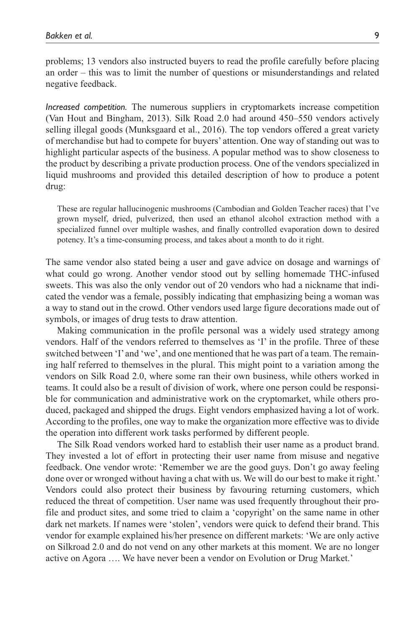problems; 13 vendors also instructed buyers to read the profile carefully before placing an order – this was to limit the number of questions or misunderstandings and related negative feedback.

*Increased competition.* The numerous suppliers in cryptomarkets increase competition (Van Hout and Bingham, 2013). Silk Road 2.0 had around 450–550 vendors actively selling illegal goods (Munksgaard et al., 2016). The top vendors offered a great variety of merchandise but had to compete for buyers' attention. One way of standing out was to highlight particular aspects of the business. A popular method was to show closeness to the product by describing a private production process. One of the vendors specialized in liquid mushrooms and provided this detailed description of how to produce a potent drug:

These are regular hallucinogenic mushrooms (Cambodian and Golden Teacher races) that I've grown myself, dried, pulverized, then used an ethanol alcohol extraction method with a specialized funnel over multiple washes, and finally controlled evaporation down to desired potency. It's a time-consuming process, and takes about a month to do it right.

The same vendor also stated being a user and gave advice on dosage and warnings of what could go wrong. Another vendor stood out by selling homemade THC-infused sweets. This was also the only vendor out of 20 vendors who had a nickname that indicated the vendor was a female, possibly indicating that emphasizing being a woman was a way to stand out in the crowd. Other vendors used large figure decorations made out of symbols, or images of drug tests to draw attention.

Making communication in the profile personal was a widely used strategy among vendors. Half of the vendors referred to themselves as 'I' in the profile. Three of these switched between 'I' and 'we', and one mentioned that he was part of a team. The remaining half referred to themselves in the plural. This might point to a variation among the vendors on Silk Road 2.0, where some ran their own business, while others worked in teams. It could also be a result of division of work, where one person could be responsible for communication and administrative work on the cryptomarket, while others produced, packaged and shipped the drugs. Eight vendors emphasized having a lot of work. According to the profiles, one way to make the organization more effective was to divide the operation into different work tasks performed by different people.

The Silk Road vendors worked hard to establish their user name as a product brand. They invested a lot of effort in protecting their user name from misuse and negative feedback. One vendor wrote: 'Remember we are the good guys. Don't go away feeling done over or wronged without having a chat with us. We will do our best to make it right.' Vendors could also protect their business by favouring returning customers, which reduced the threat of competition. User name was used frequently throughout their profile and product sites, and some tried to claim a 'copyright' on the same name in other dark net markets. If names were 'stolen', vendors were quick to defend their brand. This vendor for example explained his/her presence on different markets: 'We are only active on Silkroad 2.0 and do not vend on any other markets at this moment. We are no longer active on Agora …. We have never been a vendor on Evolution or Drug Market.'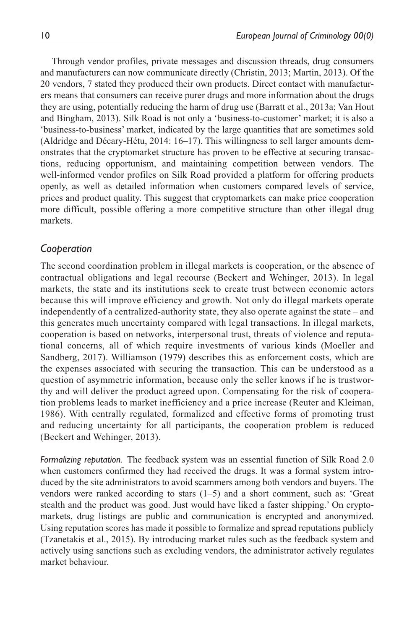Through vendor profiles, private messages and discussion threads, drug consumers and manufacturers can now communicate directly (Christin, 2013; Martin, 2013). Of the 20 vendors, 7 stated they produced their own products. Direct contact with manufacturers means that consumers can receive purer drugs and more information about the drugs they are using, potentially reducing the harm of drug use (Barratt et al., 2013a; Van Hout and Bingham, 2013). Silk Road is not only a 'business-to-customer' market; it is also a 'business-to-business' market, indicated by the large quantities that are sometimes sold (Aldridge and Décary-Hétu, 2014: 16–17). This willingness to sell larger amounts demonstrates that the cryptomarket structure has proven to be effective at securing transactions, reducing opportunism, and maintaining competition between vendors. The well-informed vendor profiles on Silk Road provided a platform for offering products openly, as well as detailed information when customers compared levels of service, prices and product quality. This suggest that cryptomarkets can make price cooperation more difficult, possible offering a more competitive structure than other illegal drug markets.

### *Cooperation*

The second coordination problem in illegal markets is cooperation, or the absence of contractual obligations and legal recourse (Beckert and Wehinger, 2013). In legal markets, the state and its institutions seek to create trust between economic actors because this will improve efficiency and growth. Not only do illegal markets operate independently of a centralized-authority state, they also operate against the state – and this generates much uncertainty compared with legal transactions. In illegal markets, cooperation is based on networks, interpersonal trust, threats of violence and reputational concerns, all of which require investments of various kinds (Moeller and Sandberg, 2017). Williamson (1979) describes this as enforcement costs, which are the expenses associated with securing the transaction. This can be understood as a question of asymmetric information, because only the seller knows if he is trustworthy and will deliver the product agreed upon. Compensating for the risk of cooperation problems leads to market inefficiency and a price increase (Reuter and Kleiman, 1986). With centrally regulated, formalized and effective forms of promoting trust and reducing uncertainty for all participants, the cooperation problem is reduced (Beckert and Wehinger, 2013).

*Formalizing reputation.* The feedback system was an essential function of Silk Road 2.0 when customers confirmed they had received the drugs. It was a formal system introduced by the site administrators to avoid scammers among both vendors and buyers. The vendors were ranked according to stars (1–5) and a short comment, such as: 'Great stealth and the product was good. Just would have liked a faster shipping.' On cryptomarkets, drug listings are public and communication is encrypted and anonymized. Using reputation scores has made it possible to formalize and spread reputations publicly (Tzanetakis et al., 2015). By introducing market rules such as the feedback system and actively using sanctions such as excluding vendors, the administrator actively regulates market behaviour.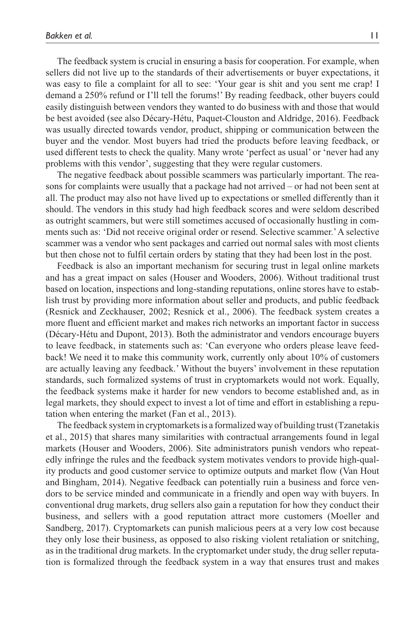The feedback system is crucial in ensuring a basis for cooperation. For example, when sellers did not live up to the standards of their advertisements or buyer expectations, it was easy to file a complaint for all to see: 'Your gear is shit and you sent me crap! I demand a 250% refund or I'll tell the forums!' By reading feedback, other buyers could easily distinguish between vendors they wanted to do business with and those that would be best avoided (see also Décary-Hétu, Paquet-Clouston and Aldridge, 2016). Feedback was usually directed towards vendor, product, shipping or communication between the buyer and the vendor. Most buyers had tried the products before leaving feedback, or used different tests to check the quality. Many wrote 'perfect as usual' or 'never had any problems with this vendor', suggesting that they were regular customers.

The negative feedback about possible scammers was particularly important. The reasons for complaints were usually that a package had not arrived – or had not been sent at all. The product may also not have lived up to expectations or smelled differently than it should. The vendors in this study had high feedback scores and were seldom described as outright scammers, but were still sometimes accused of occasionally hustling in comments such as: 'Did not receive original order or resend. Selective scammer.' A selective scammer was a vendor who sent packages and carried out normal sales with most clients but then chose not to fulfil certain orders by stating that they had been lost in the post.

Feedback is also an important mechanism for securing trust in legal online markets and has a great impact on sales (Houser and Wooders, 2006). Without traditional trust based on location, inspections and long-standing reputations, online stores have to establish trust by providing more information about seller and products, and public feedback (Resnick and Zeckhauser, 2002; Resnick et al., 2006). The feedback system creates a more fluent and efficient market and makes rich networks an important factor in success (Décary-Hétu and Dupont, 2013). Both the administrator and vendors encourage buyers to leave feedback, in statements such as: 'Can everyone who orders please leave feedback! We need it to make this community work, currently only about 10% of customers are actually leaving any feedback.' Without the buyers' involvement in these reputation standards, such formalized systems of trust in cryptomarkets would not work. Equally, the feedback systems make it harder for new vendors to become established and, as in legal markets, they should expect to invest a lot of time and effort in establishing a reputation when entering the market (Fan et al., 2013).

The feedback system in cryptomarkets is a formalized way of building trust (Tzanetakis et al., 2015) that shares many similarities with contractual arrangements found in legal markets (Houser and Wooders, 2006). Site administrators punish vendors who repeatedly infringe the rules and the feedback system motivates vendors to provide high-quality products and good customer service to optimize outputs and market flow (Van Hout and Bingham, 2014). Negative feedback can potentially ruin a business and force vendors to be service minded and communicate in a friendly and open way with buyers. In conventional drug markets, drug sellers also gain a reputation for how they conduct their business, and sellers with a good reputation attract more customers (Moeller and Sandberg, 2017). Cryptomarkets can punish malicious peers at a very low cost because they only lose their business, as opposed to also risking violent retaliation or snitching, as in the traditional drug markets. In the cryptomarket under study, the drug seller reputation is formalized through the feedback system in a way that ensures trust and makes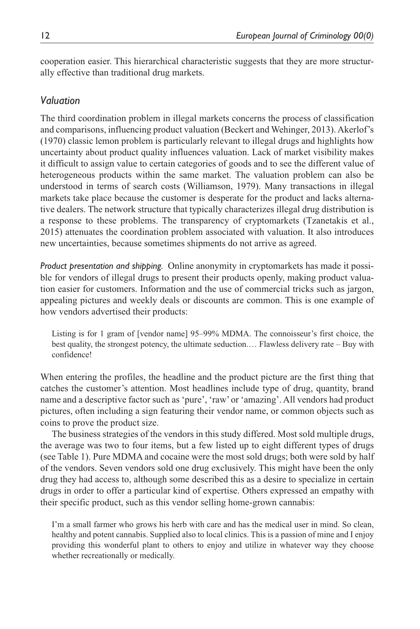cooperation easier. This hierarchical characteristic suggests that they are more structurally effective than traditional drug markets.

## *Valuation*

The third coordination problem in illegal markets concerns the process of classification and comparisons, influencing product valuation (Beckert and Wehinger, 2013). Akerlof's (1970) classic lemon problem is particularly relevant to illegal drugs and highlights how uncertainty about product quality influences valuation. Lack of market visibility makes it difficult to assign value to certain categories of goods and to see the different value of heterogeneous products within the same market. The valuation problem can also be understood in terms of search costs (Williamson, 1979). Many transactions in illegal markets take place because the customer is desperate for the product and lacks alternative dealers. The network structure that typically characterizes illegal drug distribution is a response to these problems. The transparency of cryptomarkets (Tzanetakis et al., 2015) attenuates the coordination problem associated with valuation. It also introduces new uncertainties, because sometimes shipments do not arrive as agreed.

*Product presentation and shipping.* Online anonymity in cryptomarkets has made it possible for vendors of illegal drugs to present their products openly, making product valuation easier for customers. Information and the use of commercial tricks such as jargon, appealing pictures and weekly deals or discounts are common. This is one example of how vendors advertised their products:

Listing is for 1 gram of [vendor name] 95–99% MDMA. The connoisseur's first choice, the best quality, the strongest potency, the ultimate seduction.… Flawless delivery rate – Buy with confidence!

When entering the profiles, the headline and the product picture are the first thing that catches the customer's attention. Most headlines include type of drug, quantity, brand name and a descriptive factor such as 'pure', 'raw' or 'amazing'. All vendors had product pictures, often including a sign featuring their vendor name, or common objects such as coins to prove the product size.

The business strategies of the vendors in this study differed. Most sold multiple drugs, the average was two to four items, but a few listed up to eight different types of drugs (see Table 1). Pure MDMA and cocaine were the most sold drugs; both were sold by half of the vendors. Seven vendors sold one drug exclusively. This might have been the only drug they had access to, although some described this as a desire to specialize in certain drugs in order to offer a particular kind of expertise. Others expressed an empathy with their specific product, such as this vendor selling home-grown cannabis:

I'm a small farmer who grows his herb with care and has the medical user in mind. So clean, healthy and potent cannabis. Supplied also to local clinics. This is a passion of mine and I enjoy providing this wonderful plant to others to enjoy and utilize in whatever way they choose whether recreationally or medically.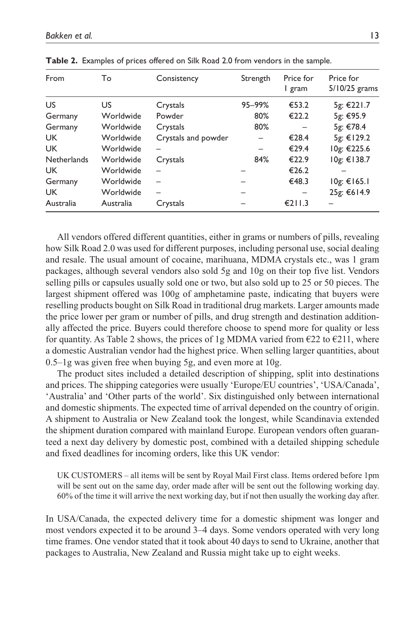| From               | To        | Consistency         | Strength | Price for<br>l gram | Price for<br>5/10/25 grams |
|--------------------|-----------|---------------------|----------|---------------------|----------------------------|
| US                 | US.       | Crystals            | 95-99%   | €53.2               | 5g: €221.7                 |
| Germany            | Worldwide | Powder              | 80%      | €22.2               | 5g: €95.9                  |
| Germany            | Worldwide | Crystals            | 80%      |                     | 5g: €78.4                  |
| <b>UK</b>          | Worldwide | Crystals and powder |          | €28.4               | 5g: €129.2                 |
| <b>UK</b>          | Worldwide |                     | -        | €29.4               | 10g: €225.6                |
| <b>Netherlands</b> | Worldwide | Crystals            | 84%      | €22.9               | 10g: €138.7                |
| <b>UK</b>          | Worldwide |                     |          | €26.2               |                            |
| Germany            | Worldwide |                     |          | €48.3               | 10g: €165.1                |
| <b>UK</b>          | Worldwide |                     | -        |                     | 25g: €614.9                |
| Australia          | Australia | Crystals            |          | €211.3              |                            |

**Table 2.** Examples of prices offered on Silk Road 2.0 from vendors in the sample.

All vendors offered different quantities, either in grams or numbers of pills, revealing how Silk Road 2.0 was used for different purposes, including personal use, social dealing and resale. The usual amount of cocaine, marihuana, MDMA crystals etc., was 1 gram packages, although several vendors also sold 5g and 10g on their top five list. Vendors selling pills or capsules usually sold one or two, but also sold up to 25 or 50 pieces. The largest shipment offered was 100g of amphetamine paste, indicating that buyers were reselling products bought on Silk Road in traditional drug markets. Larger amounts made the price lower per gram or number of pills, and drug strength and destination additionally affected the price. Buyers could therefore choose to spend more for quality or less for quantity. As Table 2 shows, the prices of 1g MDMA varied from  $\epsilon$ 22 to  $\epsilon$ 211, where a domestic Australian vendor had the highest price. When selling larger quantities, about 0.5–1g was given free when buying 5g, and even more at 10g.

The product sites included a detailed description of shipping, split into destinations and prices. The shipping categories were usually 'Europe/EU countries', 'USA/Canada', 'Australia' and 'Other parts of the world'. Six distinguished only between international and domestic shipments. The expected time of arrival depended on the country of origin. A shipment to Australia or New Zealand took the longest, while Scandinavia extended the shipment duration compared with mainland Europe. European vendors often guaranteed a next day delivery by domestic post, combined with a detailed shipping schedule and fixed deadlines for incoming orders, like this UK vendor:

UK CUSTOMERS – all items will be sent by Royal Mail First class. Items ordered before 1pm will be sent out on the same day, order made after will be sent out the following working day. 60% of the time it will arrive the next working day, but if not then usually the working day after.

In USA/Canada, the expected delivery time for a domestic shipment was longer and most vendors expected it to be around 3–4 days. Some vendors operated with very long time frames. One vendor stated that it took about 40 days to send to Ukraine, another that packages to Australia, New Zealand and Russia might take up to eight weeks.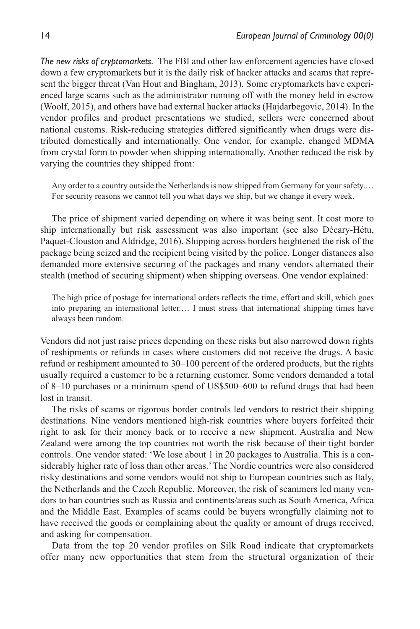*The new risks of cryptomarkets.* The FBI and other law enforcement agencies have closed down a few cryptomarkets but it is the daily risk of hacker attacks and scams that represent the bigger threat (Van Hout and Bingham, 2013). Some cryptomarkets have experienced large scams such as the administrator running off with the money held in escrow (Woolf, 2015), and others have had external hacker attacks (Hajdarbegovic, 2014). In the vendor profiles and product presentations we studied, sellers were concerned about national customs. Risk-reducing strategies differed significantly when drugs were distributed domestically and internationally. One vendor, for example, changed MDMA from crystal form to powder when shipping internationally. Another reduced the risk by varying the countries they shipped from:

Any order to a country outside the Netherlands is now shipped from Germany for your safety.… For security reasons we cannot tell you what days we ship, but we change it every week.

The price of shipment varied depending on where it was being sent. It cost more to ship internationally but risk assessment was also important (see also Décary-Hétu, Paquet-Clouston and Aldridge, 2016). Shipping across borders heightened the risk of the package being seized and the recipient being visited by the police. Longer distances also demanded more extensive securing of the packages and many vendors alternated their stealth (method of securing shipment) when shipping overseas. One vendor explained:

The high price of postage for international orders reflects the time, effort and skill, which goes into preparing an international letter.… I must stress that international shipping times have always been random.

Vendors did not just raise prices depending on these risks but also narrowed down rights of reshipments or refunds in cases where customers did not receive the drugs. A basic refund or reshipment amounted to 30–100 percent of the ordered products, but the rights usually required a customer to be a returning customer. Some vendors demanded a total of 8–10 purchases or a minimum spend of US\$500–600 to refund drugs that had been lost in transit.

The risks of scams or rigorous border controls led vendors to restrict their shipping destinations. Nine vendors mentioned high-risk countries where buyers forfeited their right to ask for their money back or to receive a new shipment. Australia and New Zealand were among the top countries not worth the risk because of their tight border controls. One vendor stated: 'We lose about 1 in 20 packages to Australia. This is a considerably higher rate of loss than other areas.' The Nordic countries were also considered risky destinations and some vendors would not ship to European countries such as Italy, the Netherlands and the Czech Republic. Moreover, the risk of scammers led many vendors to ban countries such as Russia and continents/areas such as South America, Africa and the Middle East. Examples of scams could be buyers wrongfully claiming not to have received the goods or complaining about the quality or amount of drugs received, and asking for compensation.

Data from the top 20 vendor profiles on Silk Road indicate that cryptomarkets offer many new opportunities that stem from the structural organization of their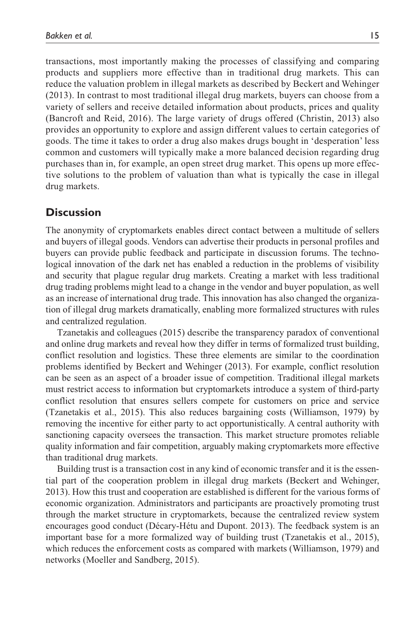transactions, most importantly making the processes of classifying and comparing products and suppliers more effective than in traditional drug markets. This can reduce the valuation problem in illegal markets as described by Beckert and Wehinger (2013). In contrast to most traditional illegal drug markets, buyers can choose from a variety of sellers and receive detailed information about products, prices and quality (Bancroft and Reid, 2016). The large variety of drugs offered (Christin, 2013) also provides an opportunity to explore and assign different values to certain categories of goods. The time it takes to order a drug also makes drugs bought in 'desperation' less common and customers will typically make a more balanced decision regarding drug purchases than in, for example, an open street drug market. This opens up more effective solutions to the problem of valuation than what is typically the case in illegal drug markets.

## **Discussion**

The anonymity of cryptomarkets enables direct contact between a multitude of sellers and buyers of illegal goods. Vendors can advertise their products in personal profiles and buyers can provide public feedback and participate in discussion forums. The technological innovation of the dark net has enabled a reduction in the problems of visibility and security that plague regular drug markets. Creating a market with less traditional drug trading problems might lead to a change in the vendor and buyer population, as well as an increase of international drug trade. This innovation has also changed the organization of illegal drug markets dramatically, enabling more formalized structures with rules and centralized regulation.

Tzanetakis and colleagues (2015) describe the transparency paradox of conventional and online drug markets and reveal how they differ in terms of formalized trust building, conflict resolution and logistics. These three elements are similar to the coordination problems identified by Beckert and Wehinger (2013). For example, conflict resolution can be seen as an aspect of a broader issue of competition. Traditional illegal markets must restrict access to information but cryptomarkets introduce a system of third-party conflict resolution that ensures sellers compete for customers on price and service (Tzanetakis et al., 2015). This also reduces bargaining costs (Williamson, 1979) by removing the incentive for either party to act opportunistically. A central authority with sanctioning capacity oversees the transaction. This market structure promotes reliable quality information and fair competition, arguably making cryptomarkets more effective than traditional drug markets.

Building trust is a transaction cost in any kind of economic transfer and it is the essential part of the cooperation problem in illegal drug markets (Beckert and Wehinger, 2013). How this trust and cooperation are established is different for the various forms of economic organization. Administrators and participants are proactively promoting trust through the market structure in cryptomarkets, because the centralized review system encourages good conduct (Décary-Hétu and Dupont. 2013). The feedback system is an important base for a more formalized way of building trust (Tzanetakis et al., 2015), which reduces the enforcement costs as compared with markets (Williamson, 1979) and networks (Moeller and Sandberg, 2015).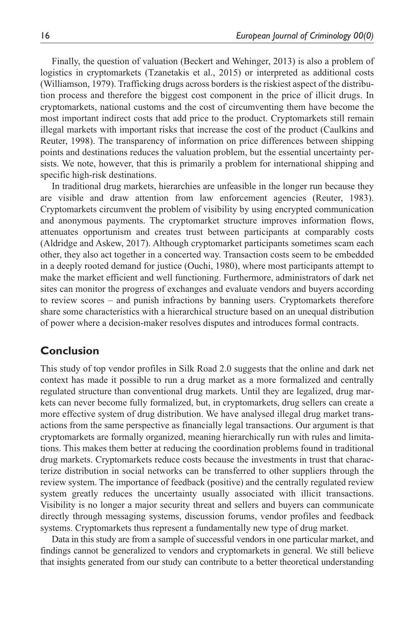Finally, the question of valuation (Beckert and Wehinger, 2013) is also a problem of logistics in cryptomarkets (Tzanetakis et al., 2015) or interpreted as additional costs (Williamson, 1979). Trafficking drugs across borders is the riskiest aspect of the distribution process and therefore the biggest cost component in the price of illicit drugs. In cryptomarkets, national customs and the cost of circumventing them have become the most important indirect costs that add price to the product. Cryptomarkets still remain illegal markets with important risks that increase the cost of the product (Caulkins and Reuter, 1998). The transparency of information on price differences between shipping points and destinations reduces the valuation problem, but the essential uncertainty persists. We note, however, that this is primarily a problem for international shipping and specific high-risk destinations.

In traditional drug markets, hierarchies are unfeasible in the longer run because they are visible and draw attention from law enforcement agencies (Reuter, 1983). Cryptomarkets circumvent the problem of visibility by using encrypted communication and anonymous payments. The cryptomarket structure improves information flows, attenuates opportunism and creates trust between participants at comparably costs (Aldridge and Askew, 2017). Although cryptomarket participants sometimes scam each other, they also act together in a concerted way. Transaction costs seem to be embedded in a deeply rooted demand for justice (Ouchi, 1980), where most participants attempt to make the market efficient and well functioning. Furthermore, administrators of dark net sites can monitor the progress of exchanges and evaluate vendors and buyers according to review scores – and punish infractions by banning users. Cryptomarkets therefore share some characteristics with a hierarchical structure based on an unequal distribution of power where a decision-maker resolves disputes and introduces formal contracts.

## **Conclusion**

This study of top vendor profiles in Silk Road 2.0 suggests that the online and dark net context has made it possible to run a drug market as a more formalized and centrally regulated structure than conventional drug markets. Until they are legalized, drug markets can never become fully formalized, but, in cryptomarkets, drug sellers can create a more effective system of drug distribution. We have analysed illegal drug market transactions from the same perspective as financially legal transactions. Our argument is that cryptomarkets are formally organized, meaning hierarchically run with rules and limitations. This makes them better at reducing the coordination problems found in traditional drug markets. Cryptomarkets reduce costs because the investments in trust that characterize distribution in social networks can be transferred to other suppliers through the review system. The importance of feedback (positive) and the centrally regulated review system greatly reduces the uncertainty usually associated with illicit transactions. Visibility is no longer a major security threat and sellers and buyers can communicate directly through messaging systems, discussion forums, vendor profiles and feedback systems. Cryptomarkets thus represent a fundamentally new type of drug market.

Data in this study are from a sample of successful vendors in one particular market, and findings cannot be generalized to vendors and cryptomarkets in general. We still believe that insights generated from our study can contribute to a better theoretical understanding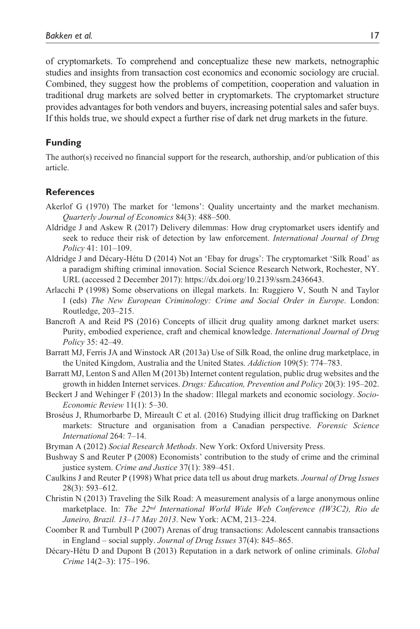of cryptomarkets. To comprehend and conceptualize these new markets, netnographic studies and insights from transaction cost economics and economic sociology are crucial. Combined, they suggest how the problems of competition, cooperation and valuation in traditional drug markets are solved better in cryptomarkets. The cryptomarket structure provides advantages for both vendors and buyers, increasing potential sales and safer buys. If this holds true, we should expect a further rise of dark net drug markets in the future.

#### **Funding**

The author(s) received no financial support for the research, authorship, and/or publication of this article.

#### **References**

- Akerlof G (1970) The market for 'lemons': Quality uncertainty and the market mechanism. *Quarterly Journal of Economics* 84(3): 488–500.
- Aldridge J and Askew R (2017) Delivery dilemmas: How drug cryptomarket users identify and seek to reduce their risk of detection by law enforcement. *International Journal of Drug Policy* 41: 101–109.
- Aldridge J and Décary-Hétu D (2014) Not an 'Ebay for drugs': The cryptomarket 'Silk Road' as a paradigm shifting criminal innovation. Social Science Research Network, Rochester, NY. URL (accessed 2 December 2017): <https://dx.doi.org/10.2139/ssrn.2436643>.
- Arlacchi P (1998) Some observations on illegal markets. In: Ruggiero V, South N and Taylor I (eds) *The New European Criminology: Crime and Social Order in Europe*. London: Routledge, 203–215.
- Bancroft A and Reid PS (2016) Concepts of illicit drug quality among darknet market users: Purity, embodied experience, craft and chemical knowledge. *International Journal of Drug Policy* 35: 42–49.
- Barratt MJ, Ferris JA and Winstock AR (2013a) Use of Silk Road, the online drug marketplace, in the United Kingdom, Australia and the United States. *Addiction* 109(5): 774–783.
- Barratt MJ, Lenton S and Allen M (2013b) Internet content regulation, public drug websites and the growth in hidden Internet services. *Drugs: Education, Prevention and Policy* 20(3): 195–202.
- Beckert J and Wehinger F (2013) In the shadow: Illegal markets and economic sociology. *Socio-Economic Review* 11(1): 5–30.
- Broséus J, Rhumorbarbe D, Mireault C et al. (2016) Studying illicit drug trafficking on Darknet markets: Structure and organisation from a Canadian perspective. *Forensic Science International* 264: 7–14.
- Bryman A (2012) *Social Research Methods*. New York: Oxford University Press.
- Bushway S and Reuter P (2008) Economists' contribution to the study of crime and the criminal justice system. *Crime and Justice* 37(1): 389–451.
- Caulkins J and Reuter P (1998) What price data tell us about drug markets. *Journal of Drug Issues* 28(3): 593–612.
- Christin N (2013) Traveling the Silk Road: A measurement analysis of a large anonymous online marketplace. In: *The 22nd International World Wide Web Conference (IW3C2), Rio de Janeiro, Brazil. 13–17 May 2013*. New York: ACM, 213–224.
- Coomber R and Turnbull P (2007) Arenas of drug transactions: Adolescent cannabis transactions in England – social supply. *Journal of Drug Issues* 37(4): 845–865.
- Décary-Hétu D and Dupont B (2013) Reputation in a dark network of online criminals. *Global Crime* 14(2–3): 175–196.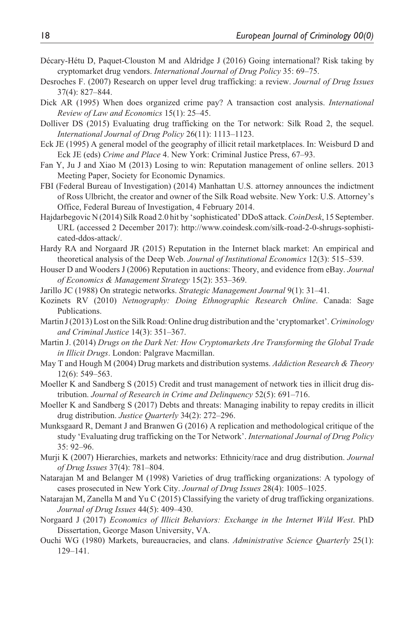- Décary-Hétu D, Paquet-Clouston M and Aldridge J (2016) Going international? Risk taking by cryptomarket drug vendors. *International Journal of Drug Policy* 35: 69–75.
- Desroches F. (2007) Research on upper level drug trafficking: a review. *Journal of Drug Issues* 37(4): 827–844.
- Dick AR (1995) When does organized crime pay? A transaction cost analysis. *International Review of Law and Economics* 15(1): 25–45.
- Dolliver DS (2015) Evaluating drug trafficking on the Tor network: Silk Road 2, the sequel. *International Journal of Drug Policy* 26(11): 1113–1123.
- Eck JE (1995) A general model of the geography of illicit retail marketplaces. In: Weisburd D and Eck JE (eds) *Crime and Place* 4. New York: Criminal Justice Press, 67–93.
- Fan Y, Ju J and Xiao M (2013) Losing to win: Reputation management of online sellers. 2013 Meeting Paper, Society for Economic Dynamics.
- FBI (Federal Bureau of Investigation) (2014) Manhattan U.S. attorney announces the indictment of Ross Ulbricht, the creator and owner of the Silk Road website. New York: U.S. Attorney's Office, Federal Bureau of Investigation, 4 February 2014.
- Hajdarbegovic N (2014) Silk Road 2.0 hit by 'sophisticated' DDoS attack. *CoinDesk*, 15 September. URL (accessed 2 December 2017): [http://www.coindesk.com/silk-road-2-0-shrugs-sophisti](http://www.coindesk.com/silk-road-2-0-shrugs-sophisticated-ddos-attack/)[cated-ddos-attack/](http://www.coindesk.com/silk-road-2-0-shrugs-sophisticated-ddos-attack/).
- Hardy RA and Norgaard JR (2015) Reputation in the Internet black market: An empirical and theoretical analysis of the Deep Web. *Journal of Institutional Economics* 12(3): 515–539.
- Houser D and Wooders J (2006) Reputation in auctions: Theory, and evidence from eBay. *Journal of Economics & Management Strategy* 15(2): 353–369.
- Jarillo JC (1988) On strategic networks. *Strategic Management Journal* 9(1): 31–41.
- Kozinets RV (2010) *Netnography: Doing Ethnographic Research Online*. Canada: Sage Publications.
- Martin J (2013) Lost on the Silk Road: Online drug distribution and the 'cryptomarket'. *Criminology and Criminal Justice* 14(3): 351–367.
- Martin J. (2014) *Drugs on the Dark Net: How Cryptomarkets Are Transforming the Global Trade in Illicit Drugs*. London: Palgrave Macmillan.
- May T and Hough M (2004) Drug markets and distribution systems. *Addiction Research & Theory* 12(6): 549–563.
- Moeller K and Sandberg S (2015) Credit and trust management of network ties in illicit drug distribution. *Journal of Research in Crime and Delinquency* 52(5): 691–716.
- Moeller K and Sandberg S (2017) Debts and threats: Managing inability to repay credits in illicit drug distribution. *Justice Quarterly* 34(2): 272–296.
- Munksgaard R, Demant J and Branwen G (2016) A replication and methodological critique of the study 'Evaluating drug trafficking on the Tor Network'. *International Journal of Drug Policy* 35: 92–96.
- Murji K (2007) Hierarchies, markets and networks: Ethnicity/race and drug distribution. *Journal of Drug Issues* 37(4): 781–804.
- Natarajan M and Belanger M (1998) Varieties of drug trafficking organizations: A typology of cases prosecuted in New York City. *Journal of Drug Issues* 28(4): 1005–1025.
- Natarajan M, Zanella M and Yu C (2015) Classifying the variety of drug trafficking organizations. *Journal of Drug Issues* 44(5): 409–430.
- Norgaard J (2017) *Economics of Illicit Behaviors: Exchange in the Internet Wild West*. PhD Dissertation, George Mason University, VA.
- Ouchi WG (1980) Markets, bureaucracies, and clans. *Administrative Science Quarterly* 25(1): 129–141.